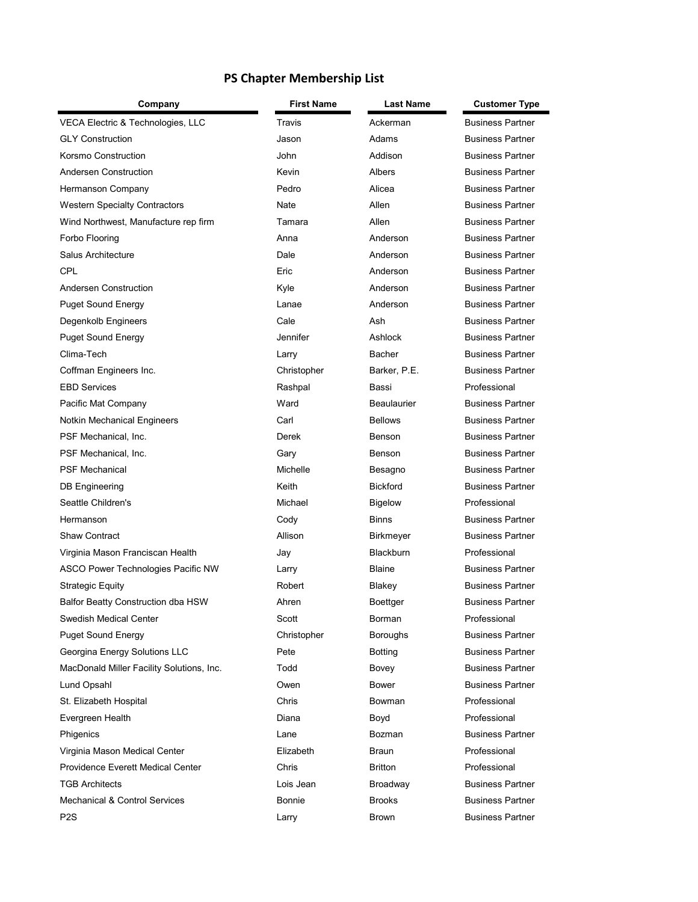## **PS Chapter Membership List**

| Company                                   | <b>First Name</b> | <b>Last Name</b> | <b>Customer Type</b>    |
|-------------------------------------------|-------------------|------------------|-------------------------|
| VECA Electric & Technologies, LLC         | Travis            | Ackerman         | <b>Business Partner</b> |
| <b>GLY Construction</b>                   | Jason             | Adams            | <b>Business Partner</b> |
| Korsmo Construction                       | John              | Addison          | <b>Business Partner</b> |
| Andersen Construction                     | Kevin             | Albers           | <b>Business Partner</b> |
| Hermanson Company                         | Pedro             | Alicea           | <b>Business Partner</b> |
| <b>Western Specialty Contractors</b>      | Nate              | Allen            | <b>Business Partner</b> |
| Wind Northwest, Manufacture rep firm      | Tamara            | Allen            | <b>Business Partner</b> |
| Forbo Flooring                            | Anna              | Anderson         | <b>Business Partner</b> |
| <b>Salus Architecture</b>                 | Dale              | Anderson         | <b>Business Partner</b> |
| <b>CPL</b>                                | Eric              | Anderson         | <b>Business Partner</b> |
| Andersen Construction                     | Kyle              | Anderson         | <b>Business Partner</b> |
| <b>Puget Sound Energy</b>                 | Lanae             | Anderson         | <b>Business Partner</b> |
| Degenkolb Engineers                       | Cale              | Ash              | <b>Business Partner</b> |
| <b>Puget Sound Energy</b>                 | Jennifer          | Ashlock          | <b>Business Partner</b> |
| Clima-Tech                                | Larry             | <b>Bacher</b>    | <b>Business Partner</b> |
| Coffman Engineers Inc.                    | Christopher       | Barker, P.E.     | <b>Business Partner</b> |
| <b>EBD Services</b>                       | Rashpal           | Bassi            | Professional            |
| Pacific Mat Company                       | Ward              | Beaulaurier      | <b>Business Partner</b> |
| Notkin Mechanical Engineers               | Carl              | <b>Bellows</b>   | <b>Business Partner</b> |
| PSF Mechanical, Inc.                      | Derek             | Benson           | <b>Business Partner</b> |
| PSF Mechanical, Inc.                      | Gary              | Benson           | <b>Business Partner</b> |
| <b>PSF Mechanical</b>                     | Michelle          | Besagno          | <b>Business Partner</b> |
| DB Engineering                            | Keith             | <b>Bickford</b>  | <b>Business Partner</b> |
| Seattle Children's                        | Michael           | <b>Bigelow</b>   | Professional            |
| Hermanson                                 | Cody              | <b>Binns</b>     | <b>Business Partner</b> |
| <b>Shaw Contract</b>                      | Allison           | Birkmeyer        | <b>Business Partner</b> |
| Virginia Mason Franciscan Health          | Jay               | <b>Blackburn</b> | Professional            |
| ASCO Power Technologies Pacific NW        | Larry             | <b>Blaine</b>    | <b>Business Partner</b> |
| <b>Strategic Equity</b>                   | Robert            | Blakey           | <b>Business Partner</b> |
| Balfor Beatty Construction dba HSW        | Ahren             | Boettger         | <b>Business Partner</b> |
| Swedish Medical Center                    | Scott             | Borman           | Professional            |
| <b>Puget Sound Energy</b>                 | Christopher       | <b>Boroughs</b>  | <b>Business Partner</b> |
| Georgina Energy Solutions LLC             | Pete              | Botting          | <b>Business Partner</b> |
| MacDonald Miller Facility Solutions, Inc. | Todd              | Bovey            | <b>Business Partner</b> |
| Lund Opsahl                               | Owen              | Bower            | <b>Business Partner</b> |
| St. Elizabeth Hospital                    | Chris             | <b>Bowman</b>    | Professional            |
| Evergreen Health                          | Diana             | Boyd             | Professional            |
| Phigenics                                 | Lane              | <b>Bozman</b>    | <b>Business Partner</b> |
| Virginia Mason Medical Center             | Elizabeth         | Braun            | Professional            |
| <b>Providence Everett Medical Center</b>  | Chris             | <b>Britton</b>   | Professional            |
| <b>TGB Architects</b>                     | Lois Jean         | Broadway         | <b>Business Partner</b> |
| <b>Mechanical &amp; Control Services</b>  | <b>Bonnie</b>     | <b>Brooks</b>    | <b>Business Partner</b> |
| P <sub>2</sub> S                          | Larry             | Brown            | <b>Business Partner</b> |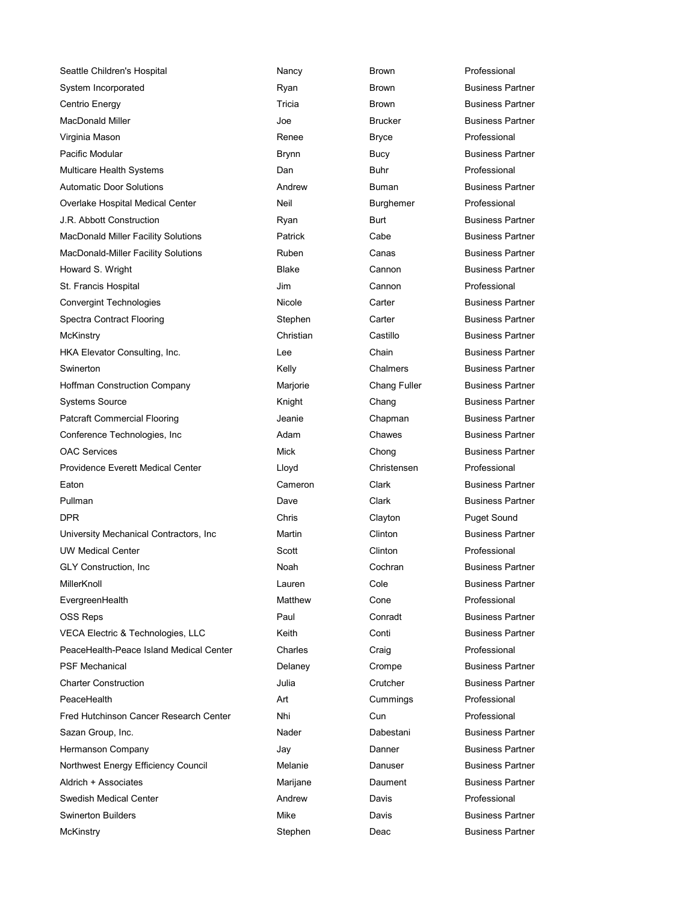Seattle Children's Hospital **Nancy** Nancy **Brown** Brown Professional System Incorporated **Ryan** Brown Business Partner Centrio Energy **Tricia** Tricia **Brown** Business Partner MacDonald Miller Note and The Second Uper Second Business Partner Business Partner Virginia Mason Renee Bryce Professional Pacific Modular **Brynn** Brynn Bucy Business Partner Multicare Health Systems **Dan** Dan Buhr Professional Automatic Door Solutions **Automatic Door Solutions** Andrew Buman Buman Business Partner Overlake Hospital Medical Center **Neil** Neil Burghemer Professional J.R. Abbott Construction **Business Partner** Ryan Burt Business Partner MacDonald Miller Facility Solutions **Patrick** Cabe Cabe Business Partner MacDonald-Miller Facility Solutions **Ruben** Ruben Canas Business Partner Howard S. Wright **Example 2** External Blake Cannon Business Partner St. Francis Hospital Jim Cannon Professional Convergint Technologies Technologies Nicole Carter Carter Business Partner Spectra Contract Flooring The Stephen Carter Contract Business Partner McKinstry **Christian** Christian Castillo Business Partner HKA Elevator Consulting, Inc. The Chain Chain Business Partner Swinerton **Chalmers** Chalmers Business Partner **Chalmers** Business Partner Hoffman Construction Company **Mariorie** Marjorie Chang Fuller Business Partner Systems Source **Knight** Chang Business Partner Patcraft Commercial Flooring The State of Seanie Chapman Business Partner Conference Technologies, Inc **Cham** Adam Chawes Business Partner OAC Services **Changes** Chong Business Partner Providence Everett Medical Center Lloyd Christensen Professional Eaton **Cameron** Cameron Clark **Clark Business Partner** Pullman **Dave Clark Business Partner** Clark Business Partner DPR Chris Clayton Puget Sound University Mechanical Contractors, Inc **Martin Contractors, Inc. Accord Martin** Clinton Clinton Business Partner UW Medical Center **Clinton** Scott Clinton Clinton Professional GLY Construction, Inc **Community Construction, Inc.** Noah Cochran Business Partner MillerKnoll Lauren Cole Business Partner EvergreenHealth **Matthew Cone** Professional Matthew Cone OSS Reps **Paul Conradt** Business Partner VECA Electric & Technologies, LLC **Keith** Conti Conti Business Partner PeaceHealth-Peace Island Medical Center Charles Charles Craig Craig Professional PSF Mechanical **Delaney** Crompe Business Partner Charter Construction Julia Crutcher Business Partner PeaceHealth Art Cummings Professional Fred Hutchinson Cancer Research Center **Nhi** Nhi Cun Cun Professional Sazan Group, Inc. **Nader** Nader **Dabestani** Business Partner Hermanson Company **Company Company** Jay Danner Business Partner Northwest Energy Efficiency Council **Melanie** Melanie Danuser Business Partner Aldrich + Associates **Marijane** Marijane Daument Business Partner Swedish Medical Center **Andrew** Andrew Davis Professional Swinerton Builders **Mike** Mike **Davis Business Partner** Business Partner McKinstry **Stephen** Deac Business Partner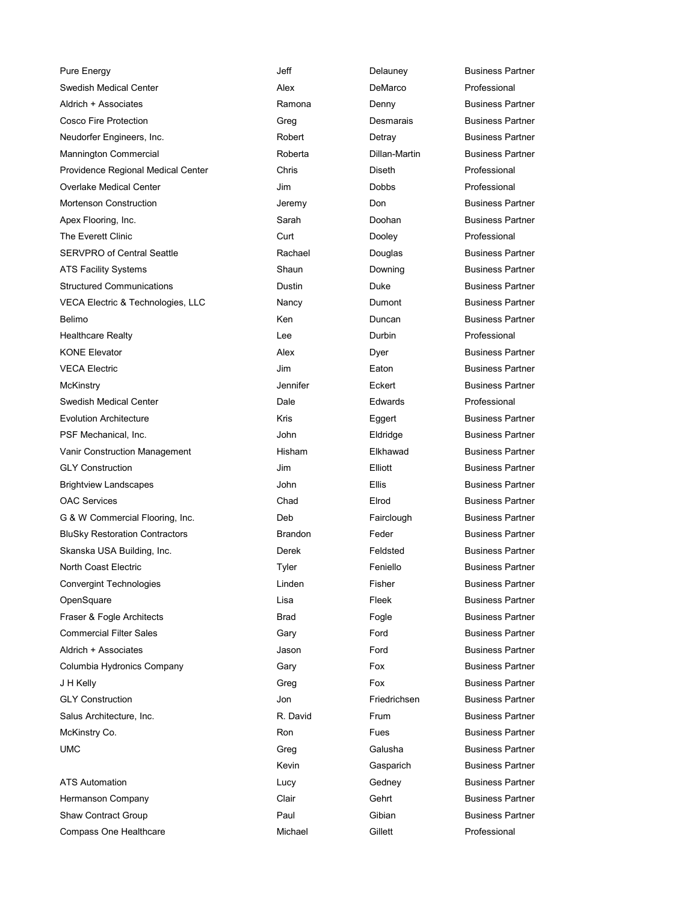Pure Energy **Contract Contract Contract Contract Contract Delauney** Delauney **Business Partner** Swedish Medical Center **Alex** Alex DeMarco Professional Aldrich + Associates **Ramona** Business Partner **Ramona** Business Partner Cosco Fire Protection **Cosco Fire Protection** Creq **Cosco Desmarais** Business Partner Neudorfer Engineers, Inc. The Societ Control Robert Control Detray Business Partner Mannington Commercial **Roberta** Roberta **Dillan-Martin** Business Partner Providence Regional Medical Center Chris Diseth Professional Overlake Medical Center **Contract Center Contract Center Contract Center** Jim **Dobbs** Professional Mortenson Construction **Mortensian Construction** Jeremy Don Don Business Partner Apex Flooring, Inc. **Sarah Business Partner** Business Partner Business Partner The Everett Clinic **Curre Curt** Curt Current Dooley **Professional** SERVPRO of Central Seattle **Rachael** Rachael **Douglas** Business Partner ATS Facility Systems **Shaun** Shaun Business Partner Business Partner Structured Communications and Dustin Dustin **Duke** Duke Business Partner VECA Electric & Technologies, LLC Nancy Dumont Business Partner Belimo **Contract Contract Contract Contract Contract Contract Contract Contract Contract Contract Contract Contract Contract Contract Contract Contract Contract Contract Contract Contract Contract Contract Contract Contrac** Healthcare Realty **Network** Lee **Durbin Professional** KONE Elevator **Alex Alex** Business Partner Alex **Dyer** Business Partner VECA Electric **VECA Electric** CONSERVENT CONSUMING A USING THE SERVICE CONSERVENT CONSUMING A USING A USING A USING A USING A USING A USING A USING A USING A USING A USING A USING A USING A USING A USING A USING A USING A McKinstry Jennifer Eckert Business Partner Swedish Medical Center Dale Edwards Professional Evolution Architecture The Control of the Kris Eggert Eggert Business Partner PSF Mechanical, Inc. **Metanology Community** John **Communist Eldridge** Business Partner Vanir Construction Management **Night Hisham** Elkhawad Business Partner GLY Construction **Construction** Jim Elliott Business Partner Brightview Landscapes **State Communist Communist Communist Communist Communist Communist Communist Communist Communist Communist Communist Communist Communist Communist Communist Communist Communist Communist Communist Com** OAC Services **Chad** Elrod Business Partner G & W Commercial Flooring, Inc. The Subset of Deb Fairclough Business Partner BluSky Restoration Contractors **BRandon** Brandon Feder **Feder** Business Partner Skanska USA Building, Inc. The South Screek Feldsted Business Partner North Coast Electric **North Coast Electric Feniello Feniello** Business Partner Convergint Technologies **Convergint Technologies Linden** Fisher Fisher Business Partner OpenSquare **Contract Contract Contract Contract Contract Contract Contract Contract Contract Contract Contract Contract Contract Contract Contract Contract Contract Contract Contract Contract Contract Contract Contract Con** Fraser & Fogle Architects **Example 2** Fogle Business Partner Business Partner Commercial Filter Sales Gary Ford Business Partner Aldrich + Associates Jason Ford Business Partner Columbia Hydronics Company Gary Fox Business Partner J H Kelly **Fox** Business Partner **Fox** Fox Business Partner GLY Construction Jon Friedrichsen Business Partner Salus Architecture, Inc. The Community Countries Reference R. David Frum Rusiness Partner McKinstry Co. **A Construction Construction Construction Construction Construction Construction Construction Construction Construction Construction Construction Construction Construction Construction Construction Constructi** UMC Greg Galusha Business Partner ATS Automation **ATS** Automation **COVID-19 ELUCY** CHANGE Gedney Business Partner Hermanson Company **Company** Clair Clair Gehrt Business Partner Shaw Contract Group **Contract Group Contract Group** Paul Gibian Gibian Business Partner

Kevin **Gasparich** Business Partner Compass One Healthcare **Michael Michael Compass Compass One Healthcare** Michael **Gillett** Compass Professional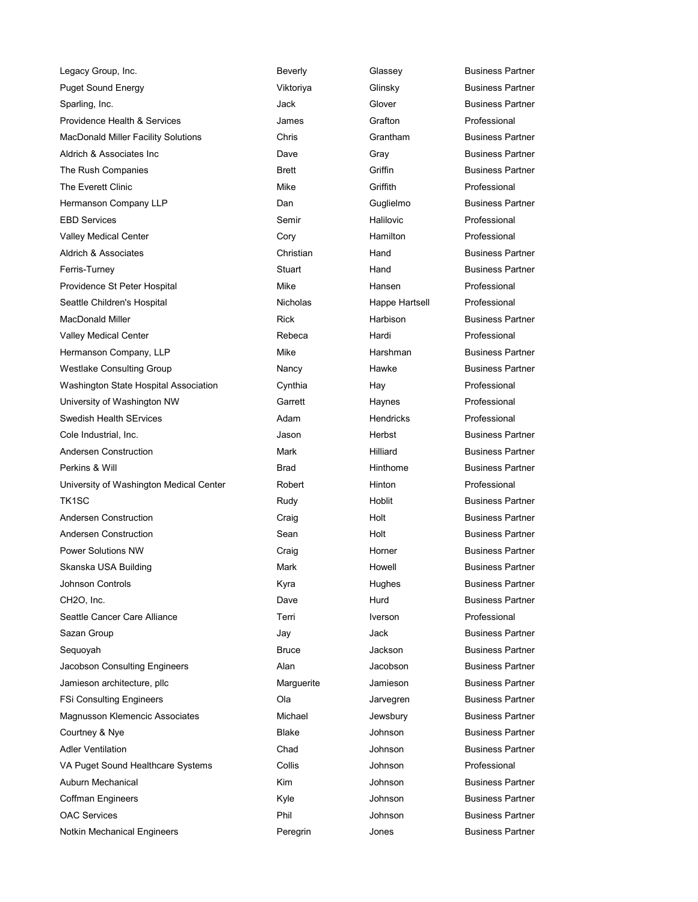| Legacy Group, Inc.                      | Beverly         | Glassey          | Business Pa        |
|-----------------------------------------|-----------------|------------------|--------------------|
| <b>Puget Sound Energy</b>               | Viktoriya       | Glinsky          | <b>Business Pa</b> |
| Sparling, Inc.                          | Jack            | Glover           | <b>Business Pa</b> |
| Providence Health & Services            | James           | Grafton          | Professional       |
| MacDonald Miller Facility Solutions     | Chris           | Grantham         | <b>Business Pa</b> |
| Aldrich & Associates Inc.               | Dave            | Gray             | <b>Business Pa</b> |
| The Rush Companies                      | <b>Brett</b>    | Griffin          | <b>Business Pa</b> |
| The Everett Clinic                      | Mike            | Griffith         | Professional       |
| Hermanson Company LLP                   | Dan             | Guglielmo        | <b>Business Pa</b> |
| <b>EBD Services</b>                     | Semir           | Halilovic        | Professional       |
| Valley Medical Center                   | Cory            | Hamilton         | Professional       |
| Aldrich & Associates                    | Christian       | Hand             | <b>Business Pa</b> |
| Ferris-Turney                           | Stuart          | Hand             | <b>Business Pa</b> |
| Providence St Peter Hospital            | Mike            | Hansen           | Professional       |
| Seattle Children's Hospital             | <b>Nicholas</b> | Happe Hartsell   | Professional       |
| <b>MacDonald Miller</b>                 | <b>Rick</b>     | Harbison         | <b>Business Pa</b> |
| <b>Valley Medical Center</b>            | Rebeca          | Hardi            | Professional       |
| Hermanson Company, LLP                  | Mike            | Harshman         | <b>Business Pa</b> |
| Westlake Consulting Group               | Nancy           | Hawke            | Business Pa        |
| Washington State Hospital Association   | Cynthia         | Hay              | Professional       |
| University of Washington NW             | Garrett         | Haynes           | Professional       |
| <b>Swedish Health SErvices</b>          | Adam            | <b>Hendricks</b> | Professional       |
| Cole Industrial, Inc.                   | Jason           | Herbst           | <b>Business Pa</b> |
| Andersen Construction                   | Mark            | Hilliard         | <b>Business Pa</b> |
| Perkins & Will                          | Brad            | Hinthome         | <b>Business Pa</b> |
| University of Washington Medical Center | Robert          | Hinton           | Professional       |
| TK <sub>1</sub> SC                      | Rudy            | Hoblit           | <b>Business Pa</b> |
| Andersen Construction                   | Craig           | Holt             | <b>Business Pa</b> |
| Andersen Construction                   | Sean            | Holt             | <b>Business Pa</b> |
| <b>Power Solutions NW</b>               | Craig           | Horner           | <b>Business Pa</b> |
| Skanska USA Building                    | Mark            | Howell           | Business Pa        |
| <b>Johnson Controls</b>                 | Kyra            | Hughes           | <b>Business Pa</b> |
| CH2O, Inc.                              | Dave            | Hurd             | <b>Business Pa</b> |
| Seattle Cancer Care Alliance            | Terri           | <b>Iverson</b>   | Professional       |
| Sazan Group                             | Jay             | Jack             | <b>Business Pa</b> |
| Sequoyah                                | <b>Bruce</b>    | <b>Jackson</b>   | <b>Business Pa</b> |
| Jacobson Consulting Engineers           | Alan            | Jacobson         | <b>Business Pa</b> |
| Jamieson architecture, pllc             | Marguerite      | Jamieson         | <b>Business Pa</b> |
| <b>FSi Consulting Engineers</b>         | Ola             | Jarvegren        | <b>Business Pa</b> |
| Magnusson Klemencic Associates          | Michael         | Jewsbury         | <b>Business Pa</b> |
| Courtney & Nye                          | Blake           | Johnson          | <b>Business Pa</b> |
| <b>Adler Ventilation</b>                | Chad            | Johnson          | <b>Business Pa</b> |
| VA Puget Sound Healthcare Systems       | Collis          | Johnson          | Professional       |
| Auburn Mechanical                       | Kim             | Johnson          | <b>Business Pa</b> |
| <b>Coffman Engineers</b>                | Kyle            | Johnson          | <b>Business Pa</b> |
| <b>OAC Services</b>                     | Phil            | Johnson          | <b>Business Pa</b> |
| Notkin Mechanical Engineers             | Peregrin        | Jones            | <b>Business Pa</b> |

erly Glassey Business Partner Puget Sound Energy Viktoriya Glinsky Business Partner k Glover Business Partner is **MacDonald Miller Grantham Business Partner** e **Aldrich Business Partner** tt Companies Griffin Companies Business Partner Guglielmo Business Partner istian **Business Partner** Hand Business Partner art Ferris-Turney Hand Eusiness Partner holas **Happe Hartsell** Professional k Marbison Business Partner e Company, Llee Harshman and Business Partner ncy **Consulting Hawke** Consulting Business Partner Tett Haynes Professional on **Industrial Herbst** Business Partner **Anderse Construction Mark Hilliard** Business Partner d **Hinthome** Business Partner **The Example 3 Hoblit** Rusiness Partner **Anderse Construction Craig Craig Craig Craig And Anders Craig And Anders Partner Anderse Construction Construction Sean Holt Business Partner Power Solutions Horner Craig Craig Solutions Horner Solutions Partner** k Business Partner a Gord Controls Hughes **Business Partner** CH2O, Inc. Dave Hurd Business Partner Jack **Business Partner Sequence** Sequence Jackson **Business Partner** n Consulting Jacobson **Consulting Engineers Partner** rguerite architecture, Jamieson architecture, plusiness Partner Jarvegren Business Partner hael **Michael Michael Associates Associates** Jewsbury **Business Partner Courte** Ave Superson Business Partner ad and Johnson Business Partner Johnson **Business Partner** e Cohnson Business Partner Johnson **Business Partner** egrin Mechanical Jones Business Partner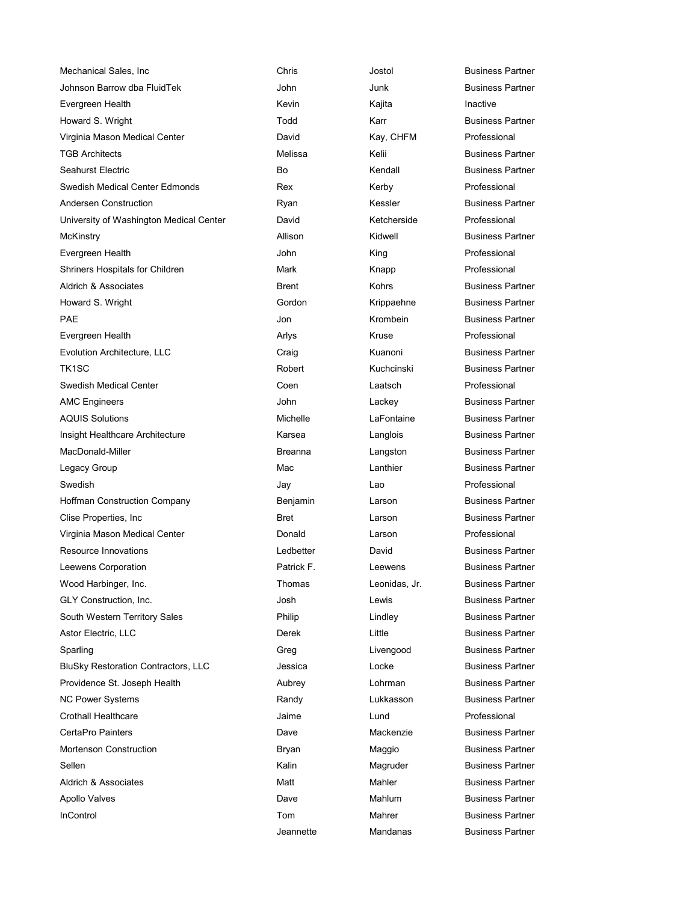| Mechanical Sales, Inc                      | Chris          | Jostol        | <b>Business Pa</b> |
|--------------------------------------------|----------------|---------------|--------------------|
| Johnson Barrow dba FluidTek                | John           | Junk          | <b>Business Pa</b> |
| Evergreen Health                           | Kevin          | Kajita        | Inactive           |
| Howard S. Wright                           | Todd           | Karr          | <b>Business Pa</b> |
| Virginia Mason Medical Center              | David          | Kay, CHFM     | Professional       |
| <b>TGB Architects</b>                      | Melissa        | Kelii         | <b>Business Pa</b> |
| Seahurst Electric                          | Bo             | Kendall       | <b>Business Pa</b> |
| Swedish Medical Center Edmonds             | Rex            | Kerby         | Professional       |
| Andersen Construction                      | Ryan           | Kessler       | <b>Business Pa</b> |
| University of Washington Medical Center    | David          | Ketcherside   | Professional       |
| McKinstry                                  | Allison        | Kidwell       | <b>Business Pa</b> |
| Evergreen Health                           | John           | King          | Professional       |
| Shriners Hospitals for Children            | Mark           | Knapp         | Professional       |
| Aldrich & Associates                       | <b>Brent</b>   | Kohrs         | <b>Business Pa</b> |
| Howard S. Wright                           | Gordon         | Krippaehne    | <b>Business Pa</b> |
| <b>PAE</b>                                 | Jon            | Krombein      | <b>Business Pa</b> |
| Evergreen Health                           | Arlys          | Kruse         | Professional       |
| Evolution Architecture, LLC                | Craig          | Kuanoni       | <b>Business Pa</b> |
| TK <sub>1</sub> SC                         | Robert         | Kuchcinski    | <b>Business Pa</b> |
| <b>Swedish Medical Center</b>              | Coen           | Laatsch       | Professional       |
| <b>AMC Engineers</b>                       | John           | Lackey        | <b>Business Pa</b> |
| <b>AQUIS Solutions</b>                     | Michelle       | LaFontaine    | <b>Business Pa</b> |
| Insight Healthcare Architecture            | Karsea         | Langlois      | <b>Business Pa</b> |
| MacDonald-Miller                           | <b>Breanna</b> | Langston      | <b>Business Pa</b> |
| Legacy Group                               | Mac            | Lanthier      | <b>Business Pa</b> |
| Swedish                                    | Jay            | Lao           | Professional       |
| <b>Hoffman Construction Company</b>        | Benjamin       | Larson        | <b>Business Pa</b> |
| Clise Properties, Inc.                     | <b>Bret</b>    | Larson        | <b>Business Pa</b> |
| Virginia Mason Medical Center              | Donald         | Larson        | Professional       |
| Resource Innovations                       | Ledbetter      | David         | <b>Business Pa</b> |
| Leewens Corporation                        | Patrick F.     | Leewens       | <b>Business Pa</b> |
| Wood Harbinger, Inc.                       | Thomas         | Leonidas, Jr. | <b>Business Pa</b> |
| GLY Construction, Inc.                     | Josh           | Lewis         | <b>Business Pa</b> |
| South Western Territory Sales              | Philip         | Lindley       | <b>Business Pa</b> |
| Astor Electric, LLC                        | Derek          | Little        | <b>Business Pa</b> |
| Sparling                                   | Greg           | Livengood     | <b>Business Pa</b> |
| <b>BluSky Restoration Contractors, LLC</b> | Jessica        | Locke         | <b>Business Pa</b> |
| Providence St. Joseph Health               | Aubrey         | Lohrman       | <b>Business Pa</b> |
| <b>NC Power Systems</b>                    | Randy          | Lukkasson     | <b>Business Pa</b> |
| <b>Crothall Healthcare</b>                 | Jaime          | Lund          | Professional       |
| CertaPro Painters                          | Dave           | Mackenzie     | <b>Business Pa</b> |
| <b>Mortenson Construction</b>              | Bryan          | Maggio        | <b>Business Pa</b> |
| Sellen                                     | Kalin          | Magruder      | <b>Business Pa</b> |
| Aldrich & Associates                       | Matt           | Mahler        | <b>Business Pa</b> |
| Apollo Valves                              | Dave           | Mahlum        | <b>Business Pa</b> |
| InControl                                  | Tom            | Mahrer        | <b>Business Pa</b> |
|                                            |                |               |                    |

Chris **Metal Sales, Inc Chris** Jostol **Business Partner** John Junk Business Partner Todd Karr Business Partner Melissa Kelii Business Partner Bo Kendall Business Partner Ryan Kessler Business Partner Allison Kidwell Business Partner **Brent Kohrs Business Partner** Gordon Krippaehne Business Partner **Jon Communist Communist Communist Communist Communist Communist Communist Communist Communist Communist Communist Communist Communist Communist Communist Communist Communist Communist Communist Communist Communist Communi** Craig Craig Craig Kuanoni Business Partner Robert Kuchcinski Business Partner **John Cackey Business Partner** Michelle **LaFontaine** Business Partner Karsea **Langlois** Langlois Business Partner Breanna **Langston** Business Partner Mac **Lanthier** East Business Partner Benjamin Carson Company Business Partner Bret **Clicia Larson** Larson Business Partner Ledbetter **David** David Business Partner Patrick F. **Leewens** Business Partner Thomas **Leonidas, Jr. Business Partner** Josh Lewis Lewis Business Partner Philip Lindley Lindley Business Partner **Derek Little Little Business Partner** Greg **Livengood** Business Partner Jessica Locke Business Partner Aubrey **Lohrman** Business Partner Randy **Lukkasson** Business Partner Dave **Mackenzie** Business Partner Bryan Maggio Business Partner Kalin Magruder Business Partner Matt Mahler **Mahler** Business Partner Dave Mahlum Business Partner **Incontrol Tom Mahrer Control Control Business Partner** Jeannette Mandanas Business Partner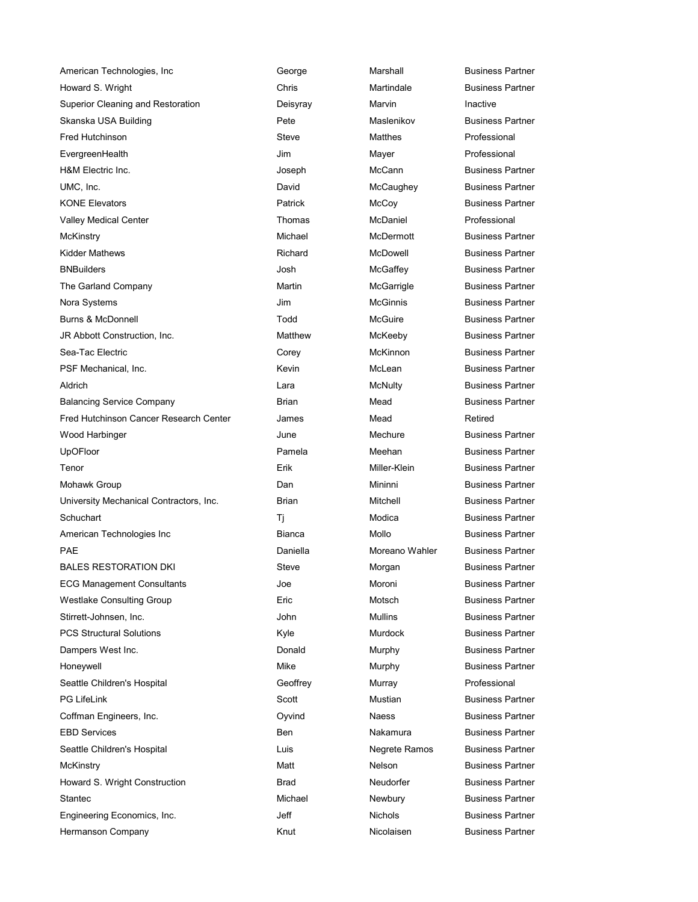American Technologies, Inc **George** George Marshall Business Partner Howard S. Wright **Marting Accord Chris** Chris Martindale **Martindale** Business Partner Superior Cleaning and Restoration **Deisyray** Marvin Marvin **Inactive** Skanska USA Building The State of Pete Maslenikov Business Partner Fred Hutchinson **Steve** Steve Matthes **Steve** Matthes **Professional** EvergreenHealth Jim Mayer Professional H&M Electric Inc. Joseph McCann Business Partner UMC, Inc. **McCaughey** Business Partner **COLLECT** David McCaughey Business Partner KONE Elevators **Patrick** McCoy Business Partner Valley Medical Center **National Center** Thomas McDaniel Professional McKinstry Michael McDermott Business Partner Kidder Mathews **Richard McDowell Business Partner** Richard McDowell **Business Partner** BNBuilders **McGaffey** Business Partner The Garland Company **Martin Martin** McGarrigle Business Partner Nora Systems Jim McGinnis Business Partner Burns & McDonnell **Burns & McGuire** Business Partner JR Abbott Construction, Inc. The Matthew Matthew McKeeby Business Partner Sea-Tac Electric Corey McKinnon Business Partner PSF Mechanical, Inc. **McLean** McLean Business Partner Aldrich **Contract Contract Contract Contract Contract Contract Contract Contract Contract Contract Contract Contract Contract Contract Contract Contract Contract Contract Contract Contract Contract Contract Contract Contra** Balancing Service Company **Brian** Brian Mead Business Partner Fred Hutchinson Cancer Research Center **James** Mead Mead Retired Wood Harbinger The Mechure Business Partner Mechure Business Partner UpOFloor **Pamela** Pamela Meehan Business Partner Tenor Erik Miller-Klein Business Partner Mohawk Group **Dan** Dan Mininni Business Partner University Mechanical Contractors, Inc. 
Brian Mitchell Business Partner Schuchart Ti Modica Business Partner American Technologies Inc **Bianca** Bianca Mollo Business Partner PAE Daniella Moreano Wahler Business Partner BALES RESTORATION DKI STEVE Steve Morgan Business Partner ECG Management Consultants **Moroni** Joe Moroni Business Partner Westlake Consulting Group **Eric** Eric Motsch Business Partner Stirrett-Johnsen, Inc. **Mulling Stirrett-Johnsen, Inc. 3. John Mullins Business Partner** Business Partner PCS Structural Solutions **Accord Follow Hotel Constructs** Kyle Murdock Business Partner Dampers West Inc. **Discussed Automobile Service Concrete Concrete Concrete Concrete Concrete Concrete Concrete Concrete Concrete Concrete Concrete Concrete Concrete Concrete Concrete Concrete Concrete Concrete Concrete Con** Honeywell **Honeywell** Mike Murphy Business Partner Seattle Children's Hospital **Geoffrey** Geoffrey Murray Murray Professional PG LifeLink **Scott** Scott Mustian Business Partner Coffman Engineers, Inc. **Communist Constructs Constructs** Oyvind Naess **Business Partner** Business Partner EBD Services **EBD** Services **Business Partner** Business Partner **Business Partner** Seattle Children's Hospital **Negretial Luis** Luis Negrete Ramos Business Partner McKinstry **Matt** Matt Nelson Business Partner Howard S. Wright Construction **Brad** Brad Neudorfer Business Partner Stantec Michael Newbury Business Partner Engineering Economics, Inc. The Control of the Michols Alection Business Partner Hermanson Company Knut Nicolaisen Business Partner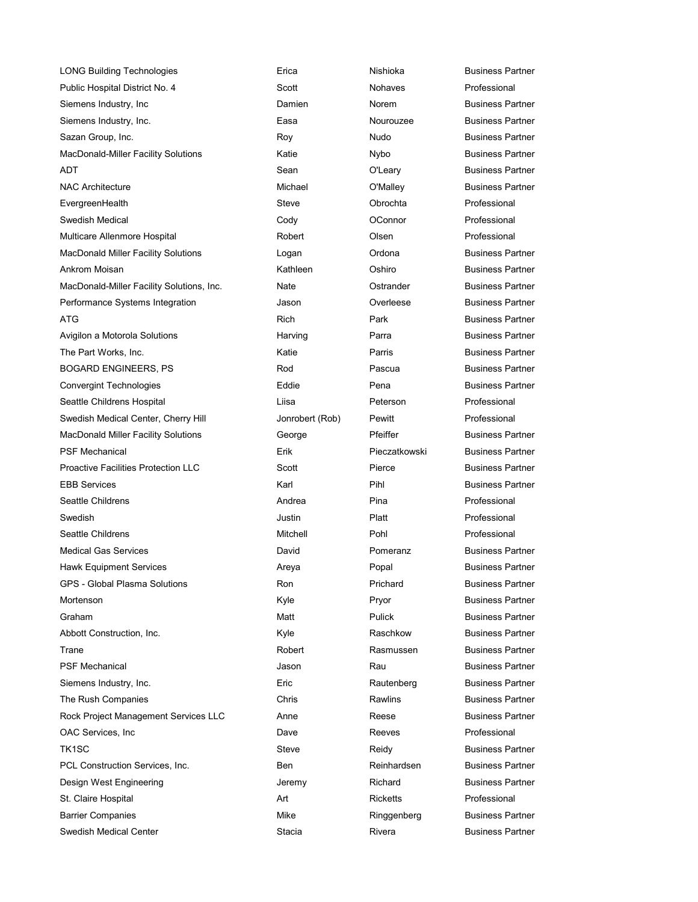LONG Building Technologies **Example 2** Erica **Example 2 Nishioka** Business Partner Public Hospital District No. 4 Scott Note Nohaves Professional Siemens Industry, Inc **Northerman Communist Communist Communist Communist Communist Communist Communist Communist Communist Communist Communist Communist Communist Communist Communist Communist Communist Communist Communis** Siemens Industry, Inc. The South Casa Casa Nourouzee Business Partner Sazan Group, Inc. **Roy Community Community Community** Roy Community Nudo Business Partner MacDonald-Miller Facility Solutions **Katie** Katie Nybo Business Partner ADT **Sean** O'Leary Business Partner NAC Architecture **Michael** Michael O'Malley Business Partner EvergreenHealth Steve Obrochta Professional Swedish Medical **Cody** Cody **Connor** Connor Professional **Cody** Multicare Allenmore Hospital **Notain State Collect** Colsen Colsen **Professional** Professional MacDonald Miller Facility Solutions **Logan** Logan **Communist Communist Communist Communist** Business Partner Ankrom Moisan Kathleen Oshiro Business Partner MacDonald-Miller Facility Solutions, Inc. Nate **Nate** Ostrander **Business Partner** Business Partner Performance Systems Integration The System Coverleese Coverleese Business Partner ATG **Rich Park Business Partner** Park **Park Business Partner** Avigilon a Motorola Solutions **Harving Community** Parra **Parra Business Partner** Business Partner The Part Works, Inc. The Part Works, Inc. And The Partner Ratio Ratio Ratio Research Partner Business Partner BOGARD ENGINEERS, PS **Rod** Pascua Business Partner Convergint Technologies **Eddie** Eddie Pena Business Partner Seattle Childrens Hospital Liisa Peterson Professional Swedish Medical Center, Cherry Hill Jonrobert (Rob) Pewitt Professional MacDonald Miller Facility Solutions **Ceorge** Pfeiffer Business Partner PSF Mechanical Erik Pieczatkowski Business Partner Proactive Facilities Protection LLC Scott Pierce Business Partner EBB Services **EBB** Services **Karl Pihl Business Partner Karl Pihl Business Partner** Seattle Childrens **Andrea Andrea** Pina Professional Professional Swedish Justin Platt Professional Seattle Childrens **Mitchell** Pohl Professional **Mitchell** Pohl Professional Medical Gas Services **David** David Pomeranz **Business Partner** Business Partner Hawk Equipment Services The Control of Areya Report Popal Popal Business Partner GPS - Global Plasma Solutions **Ron** Ron Ron Prichard Business Partner Mortenson **Mortenson** Christian Mortenson Business Partner **Mortenson** Business Partner Graham **Matt** Pulick Business Partner **Matt** Pulick **Business Partner** Abbott Construction, Inc. The Raschkow Business Partner Trane Robert Rasmussen Business Partner PSF Mechanical **Algebra 2** Islam Jason **Contract Contract PSF Mechanical** Business Partner Siemens Industry, Inc. **Eric** Eric **Rautenberg** Business Partner The Rush Companies **Chris** Chris **Chris** Rawlins Business Partner Rock Project Management Services LLC Anne Anne Reese Business Partner OAC Services, Inc **Dave** Dave Reeves Professional Dave TK1SC Steve Steve Reidy Business Partner PCL Construction Services, Inc. The Reinhardsen Business Partner Design West Engineering The Summan Heremy Chemical Business Partner St. Claire Hospital **Art** Art Ricketts **Professional** Art Ricketts **Professional** Barrier Companies **Mike** Mike **Ringgenberg Business Partner** Business Partner Swedish Medical Center **Stacia** Stacia **Stacia** Rivera Business Partner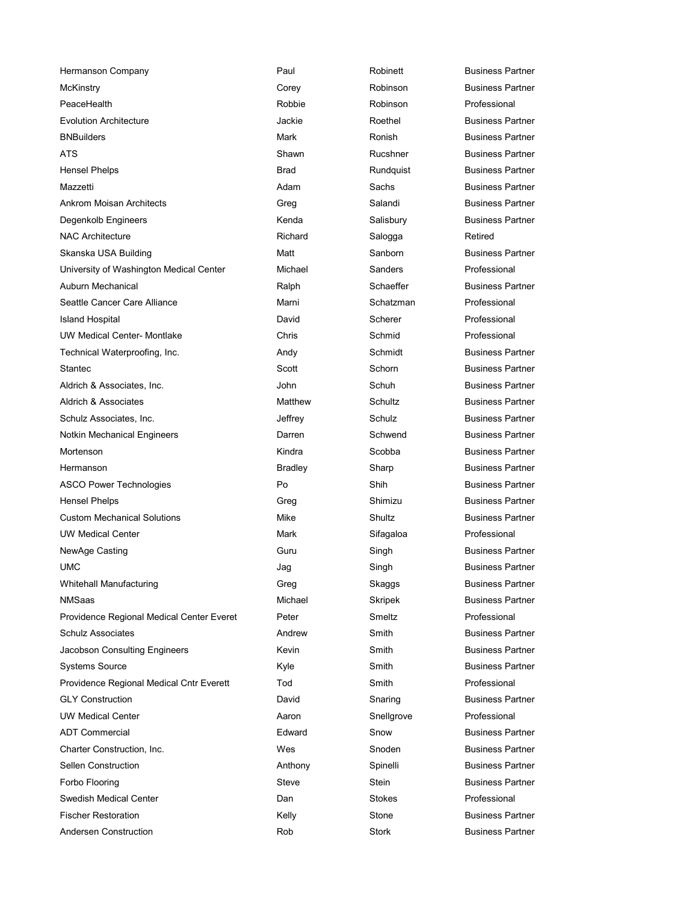| Hermanson Company                         | Paul           | Robinett   | Business Partner        |
|-------------------------------------------|----------------|------------|-------------------------|
| McKinstry                                 | Corey          | Robinson   | <b>Business Partner</b> |
| PeaceHealth                               | Robbie         | Robinson   | Professional            |
| <b>Evolution Architecture</b>             | Jackie         | Roethel    | <b>Business Partner</b> |
| <b>BNBuilders</b>                         | Mark           | Ronish     | <b>Business Partner</b> |
| ATS                                       | Shawn          | Rucshner   | <b>Business Partner</b> |
| <b>Hensel Phelps</b>                      | <b>Brad</b>    | Rundquist  | <b>Business Partner</b> |
| Mazzetti                                  | Adam           | Sachs      | <b>Business Partner</b> |
| <b>Ankrom Moisan Architects</b>           | Greg           | Salandi    | <b>Business Partner</b> |
| Degenkolb Engineers                       | Kenda          | Salisbury  | <b>Business Partner</b> |
| <b>NAC Architecture</b>                   | Richard        | Salogga    | Retired                 |
| Skanska USA Building                      | Matt           | Sanborn    | <b>Business Partner</b> |
| University of Washington Medical Center   | Michael        | Sanders    | Professional            |
| Auburn Mechanical                         | Ralph          | Schaeffer  | <b>Business Partner</b> |
| Seattle Cancer Care Alliance              | Marni          | Schatzman  | Professional            |
| Island Hospital                           | David          | Scherer    | Professional            |
| <b>UW Medical Center- Montlake</b>        | Chris          | Schmid     | Professional            |
| Technical Waterproofing, Inc.             | Andy           | Schmidt    | <b>Business Partner</b> |
| <b>Stantec</b>                            | Scott          | Schorn     | <b>Business Partner</b> |
| Aldrich & Associates, Inc.                | John           | Schuh      | <b>Business Partner</b> |
| Aldrich & Associates                      | Matthew        | Schultz    | <b>Business Partner</b> |
| Schulz Associates, Inc.                   | Jeffrey        | Schulz     | <b>Business Partner</b> |
| Notkin Mechanical Engineers               | Darren         | Schwend    | <b>Business Partner</b> |
| Mortenson                                 | Kindra         | Scobba     | <b>Business Partner</b> |
| Hermanson                                 | <b>Bradley</b> | Sharp      | <b>Business Partner</b> |
| <b>ASCO Power Technologies</b>            | Po             | Shih       | <b>Business Partner</b> |
| Hensel Phelps                             | Greg           | Shimizu    | <b>Business Partner</b> |
| <b>Custom Mechanical Solutions</b>        | Mike           | Shultz     | <b>Business Partner</b> |
| <b>UW Medical Center</b>                  | Mark           | Sifagaloa  | Professional            |
| NewAge Casting                            | Guru           | Singh      | <b>Business Partner</b> |
| <b>UMC</b>                                | Jag            | Singh      | <b>Business Partner</b> |
| Whitehall Manufacturing                   | Greg           | Skaggs     | <b>Business Partner</b> |
| <b>NMSaas</b>                             | Michael        | Skripek    | <b>Business Partner</b> |
| Providence Regional Medical Center Everet | Peter          | Smeltz     | Professional            |
| <b>Schulz Associates</b>                  | Andrew         | Smith      | <b>Business Partner</b> |
| Jacobson Consulting Engineers             | Kevin          | Smith      | <b>Business Partner</b> |
| <b>Systems Source</b>                     | Kyle           | Smith      | <b>Business Partner</b> |
| Providence Regional Medical Cntr Everett  | Tod            | Smith      | Professional            |
| <b>GLY Construction</b>                   | David          | Snaring    | <b>Business Partner</b> |
| <b>UW Medical Center</b>                  | Aaron          | Snellgrove | Professional            |
| <b>ADT Commercial</b>                     | Edward         | Snow       | <b>Business Partner</b> |
| Charter Construction, Inc.                | Wes            | Snoden     | <b>Business Partner</b> |
| Sellen Construction                       | Anthony        | Spinelli   | <b>Business Partner</b> |
| Forbo Flooring                            | Steve          | Stein      | <b>Business Partner</b> |
| Swedish Medical Center                    | Dan            | Stokes     | Professional            |
| <b>Fischer Restoration</b>                | Kelly          | Stone      | <b>Business Partner</b> |
| Andersen Construction                     | Rob            | Stork      | <b>Business Partner</b> |

siness Partner siness Partner siness Partner siness Partner siness Partner siness Partner siness Partner siness Partner siness Partner siness Partner siness Partner siness Partner siness Partner siness Partner siness Partner siness Partner siness Partner siness Partner siness Partner siness Partner siness Partner siness Partner siness Partner siness Partner siness Partner siness Partner siness Partner siness Partner siness Partner siness Partner siness Partner siness Partner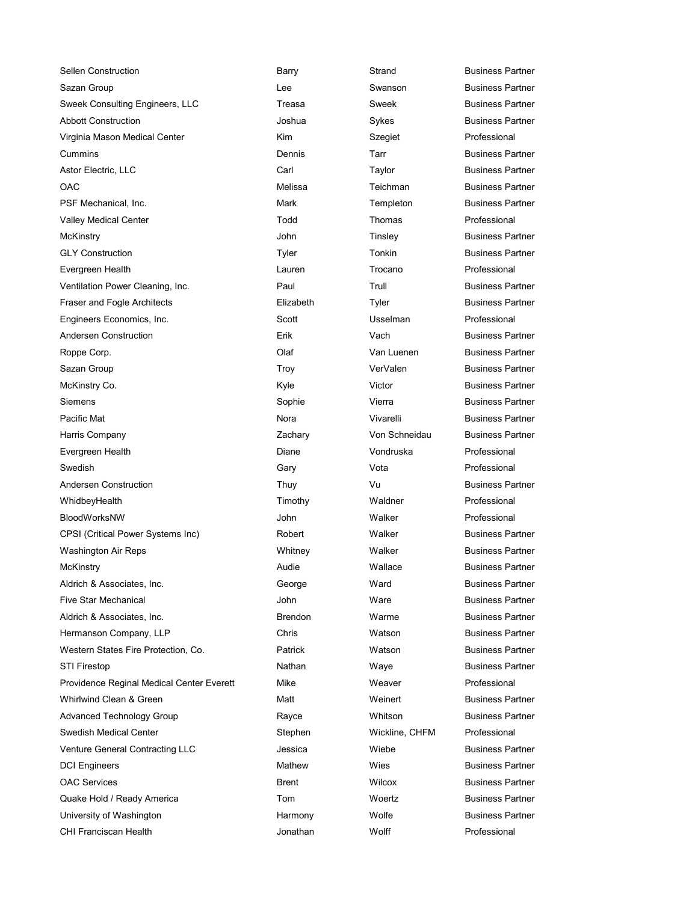Sellen Construction **Barry** Barry Strand Business Partner Sazan Group **Subsidiary Community** Communities Lee Sexual Swanson Swanson Business Partner Sweek Consulting Engineers, LLC Treasa Sweek Business Partner Abbott Construction The Sykes Abbott Construction Construction Construction Construction Construction Construction Virginia Mason Medical Center Kim Szegiet Professional Cummins Dennis Tarr Business Partner Astor Electric, LLC **Carl Carl Carl Taylor** Business Partner OAC Melissa Teichman Business Partner PSF Mechanical, Inc. **Mark** Mark Templeton Business Partner Valley Medical Center **The Center Center Center Todd** Thomas **Thomas** Professional McKinstry **Music Communist Communist Communist Communist Communist Communist Communist Communist Communist Communist Communist Communist Communist Communist Communist Communist Communist Communist Communist Communist Commu** GLY Construction **Tyler** Tyler Tonkin Business Partner Evergreen Health Lauren Trocano Professional Ventilation Power Cleaning, Inc. **Paul Paul Trull Business Partner** Business Partner Fraser and Fogle Architects **Elizabeth** Elizabeth Tyler Business Partner Engineers Economics, Inc. The Scott Scott Constant Usselman Professional Andersen Construction and Erik Erik Vach Vach Business Partner Roppe Corp. Olaf Van Luenen Business Partner Sazan Group **Troy** Troy VerValen Business Partner McKinstry Co. **Kyle** Kyle **Co.** Business Partner Siemens Sophie Vierra Business Partner Pacific Mat Nora Nora Nora Vivarelli Business Partner Harris Company Zachary Von Schneidau Business Partner Evergreen Health Diane Vondruska Professional Swedish Gary Vota Professional Andersen Construction Thuy Thuy Vu Business Partner WhidbeyHealth **Night Communist Communist Communist Communist Communist Communist Communist Communist Communist Communist Communist Communist Communist Communist Communist Communist Communist Communist Communist Communist C** BloodWorksNW John Walker Professional CPSI (Critical Power Systems Inc) Robert Walker Business Partner Washington Air Reps **Machington Air Repsate Community** Whitney Malker **Business Partner** Walker Business Partner McKinstry **Mullace** Business Partner **Mullace** Mallace **Business Partner** Aldrich & Associates, Inc. The Contract of George Contract March Business Partner Five Star Mechanical **Accord Entity Contract Contract Contract Contract Contract Contract Partner** Business Partner Aldrich & Associates, Inc. Brendon Warme Business Partner Hermanson Company, LLP Chris Watson Business Partner Western States Fire Protection, Co. Patrick Watson Business Partner STI Firestop **Nathan** Nathan Waye Business Partner Providence Reginal Medical Center Everett Mike Weaver Weaver Professional Whirlwind Clean & Green The Matt Network Clean & Green Matt Network Matt Weinert Network Business Partner Advanced Technology Group **Rayce** Rayce **Rayce** Whitson **Business Partner** Swedish Medical Center **Stephen** Stephen Mickline, CHFM Professional Venture General Contracting LLC <br>
Jessica Miebe Business Partner DCI Engineers **Mathew** Wies Business Partner OAC Services **Brent** Brent Wilcox Business Partner Quake Hold / Ready America **The Community Community** Control Woertz **Business Partner** University of Washington **Matter Contract Contract Contract Partner** Harmony Molfe **Matter Business Partner** CHI Franciscan Health Jonathan Wolff Professional